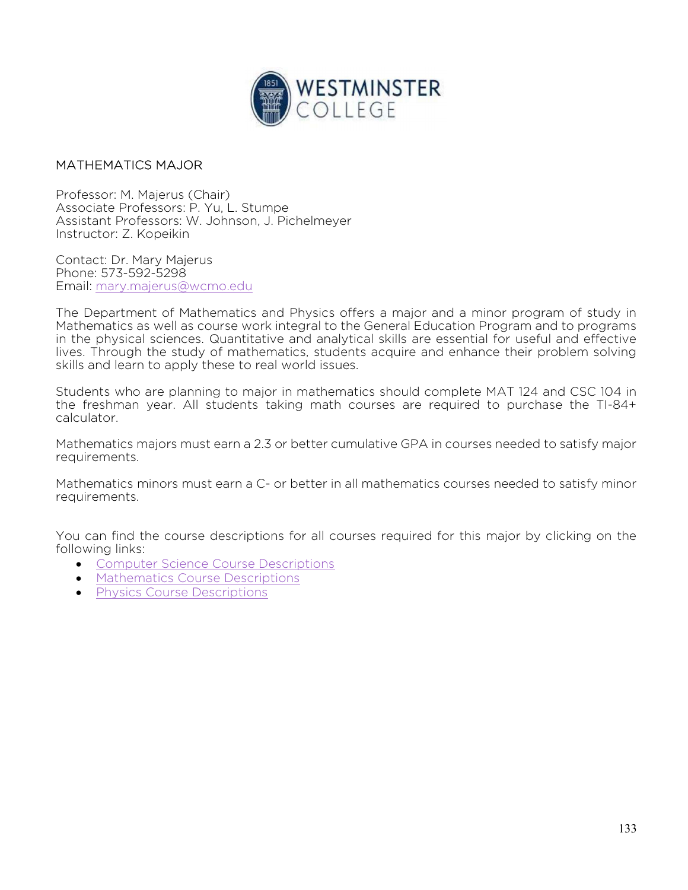

## MATHEMATICS MAJOR

Professor: M. Majerus (Chair) Associate Professors: P. Yu, L. Stumpe Assistant Professors: W. Johnson, J. Pichelmeyer Instructor: Z. Kopeikin

Contact: Dr. Mary Majerus Phone: 573-592-5298 Email: mary.majerus@wcmo.edu

The Department of Mathematics and Physics offers a major and a minor program of study in Mathematics as well as course work integral to the General Education Program and to programs in the physical sciences. Quantitative and analytical skills are essential for useful and effective lives. Through the study of mathematics, students acquire and enhance their problem solving skills and learn to apply these to real world issues.

Students who are planning to major in mathematics should complete MAT 124 and CSC 104 in the freshman year. All students taking math courses are required to purchase the TI-84+ calculator.

Mathematics majors must earn a 2.3 or better cumulative GPA in courses needed to satisfy major requirements.

Mathematics minors must earn a C- or better in all mathematics courses needed to satisfy minor requirements.

You can find the course descriptions for all courses required for this major by clicking on the following links:

- **Computer Science Course Descriptions**
- Mathematics Course Descriptions
- **•** Physics Course Descriptions